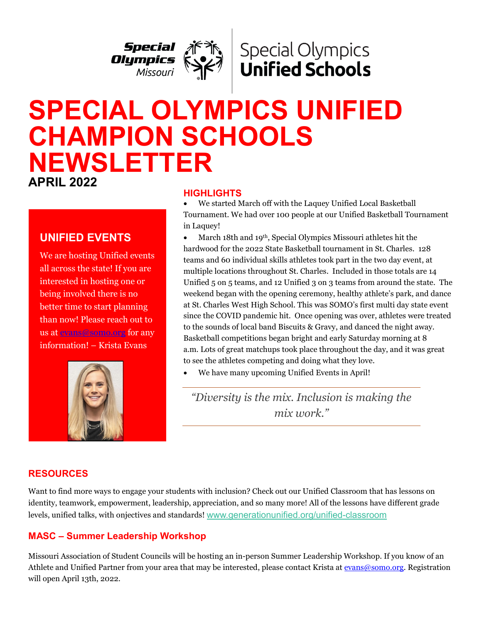

# **Special Olympics Unified Schools**

# **SPECIAL OLYMPICS UNIFIED CHAMPION SCHOOLS NEWSLETTER**

**APRIL 2022** 

# **UNIFIED EVENTS**

We are hosting Unified events all across the state! If you are interested in hosting one or being involved there is no better time to start planning than now! Please reach out to us at [evans@somo.org](mailto:evans@somo.org) for any information! – Krista Evans



#### **HIGHLIGHTS**

• We started March off with the Laquey Unified Local Basketball Tournament. We had over 100 people at our Unified Basketball Tournament in Laquey!

• March 18th and 19th, Special Olympics Missouri athletes hit the hardwood for the 2022 State Basketball tournament in St. Charles. 128 teams and 60 individual skills athletes took part in the two day event, at multiple locations throughout St. Charles. Included in those totals are 14 Unified 5 on 5 teams, and 12 Unified 3 on 3 teams from around the state. The weekend began with the opening ceremony, healthy athlete's park, and dance at St. Charles West High School. This was SOMO's first multi day state event since the COVID pandemic hit. Once opening was over, athletes were treated to the sounds of local band Biscuits & Gravy, and danced the night away. Basketball competitions began bright and early Saturday morning at 8 a.m. Lots of great matchups took place throughout the day, and it was great to see the athletes competing and doing what they love.

We have many upcoming Unified Events in April!

*"Diversity is the mix. Inclusion is making the mix work."*

# **RESOURCES**

ׇ֦֘֡֡

Want to find more ways to engage your students with inclusion? Check out our Unified Classroom that has lessons on identity, teamwork, empowerment, leadership, appreciation, and so many more! All of the lessons have different grade levels, unified talks, with onjectives and standards! [www.generationunified.org/unified-classroom](https://cn5pf04.na1.hubspotlinks.com/Btc/W1+113/cN5pF04/VXcC-v8-1JMhW7rV4TM2Y1j9CW7RdXLG4B40BXN7swVw73lSbNV1-WJV7CgZtJW8BqgX8439vDSW2pLj7y8vk-yXN437VpCsv6sfW5GRxrM16ZRk7W3qHCZ54-MNVtW7BJKSZ3DbrjnW7bLHy52Xj6szW1stV5Q6nbBp-W2pYM_w2fBV-rW12_TRK6gzL15N5cz8jK_sSPDW8j96sj5l28jWW4jG0k-70X2RRW8-L5y63kdb1SW2Lr4qC8THN-QW12NP8j55CVQ0W3dtD9T5MxszDW2h3zSz6Mvj8BW36yDCH4QcPxMW21Wg0Y7ShckjN2tmsjrmtWplW5jLNTz8pLd8z3bZw1)

# **MASC – Summer Leadership Workshop**

Missouri Association of Student Councils will be hosting an in-person Summer Leadership Workshop. If you know of an Athlete and Unified Partner from your area that may be interested, please contact Krista a[t evans@somo.org.](mailto:evans@somo.org) Registration will open April 13th, 2022.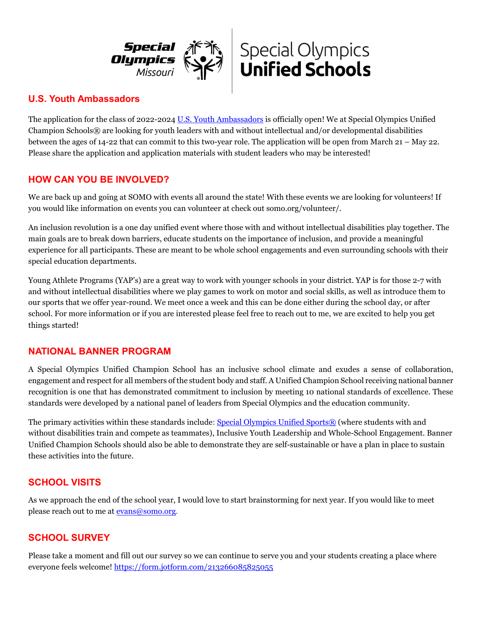



#### **U.S. Youth Ambassadors**

The application for the class of 2022-2024 [U.S. Youth Ambassadors](https://cn5pf04.na1.hubspotlinks.com/Ctc/W1+113/cN5pF04/VWH1sV6bfqMRW1tYTHD7SxN3BW4jRtpV4Hbl7TN6mkvq93lScmV1-WJV7CgK4PW1MnVFN8d4fchW7B-TbK8yTfG-W498ldT7PXTTpVPR-cC6Mt5lMW7N2P562lyDm7W3LgJKB8bgzHFW82rM4z6wgY8pW4TCHQx7CrJqPW75hjt61RZyZsW4FFmpp8XZ4F-W1lM1J58ggx4vW1vwpSt5RFSpKW4RBC601rlHBNW3SwhjH6z318ZW3N4VrH8vh9rVW4S772K40Tz2cV7scCb4Gtg4TW11R5Dc2Hb22FW5w6MVr6D0-05W6_h3Vb55XV-HW1vP0y-5SPKH6W6yQG_33_SSzRW4FfBJ71Sj6tmVxQd5l6mwkfsW8QrrnZ3Hdc0-W1FR1BY8yQw-l36191) is officially open! We at Special Olympics Unified Champion Schools® are looking for youth leaders with and without intellectual and/or developmental disabilities between the ages of 14-22 that can commit to this two-year role. The application will be open from March 21 – May 22. Please share the application and application materials with student leaders who may be interested!

#### **HOW CAN YOU BE INVOLVED?**

We are back up and going at SOMO with events all around the state! With these events we are looking for volunteers! If you would like information on events you can volunteer at check out somo.org/volunteer/.

An inclusion revolution is a one day unified event where those with and without intellectual disabilities play together. The main goals are to break down barriers, educate students on the importance of inclusion, and provide a meaningful experience for all participants. These are meant to be whole school engagements and even surrounding schools with their special education departments.

Young Athlete Programs (YAP's) are a great way to work with younger schools in your district. YAP is for those 2-7 with and without intellectual disabilities where we play games to work on motor and social skills, as well as introduce them to our sports that we offer year-round. We meet once a week and this can be done either during the school day, or after school. For more information or if you are interested please feel free to reach out to me, we are excited to help you get things started!

#### **NATIONAL BANNER PROGRAM**

A Special Olympics Unified Champion School has an inclusive school climate and exudes a sense of collaboration, engagement and respect for all members of the student body and staff. A Unified Champion School receiving national banner recognition is one that has demonstrated commitment to inclusion by meeting 10 national standards of excellence. These standards were developed by a national panel of leaders from Special Olympics and the education community.

The primary activities within these standards include: [Special Olympics Unified Sports®](https://www.specialolympics.org/our-work/sports/unified-sports) (where students with and without disabilities train and compete as teammates), Inclusive Youth Leadership and Whole-School Engagement. Banner Unified Champion Schools should also be able to demonstrate they are self-sustainable or have a plan in place to sustain these activities into the future.

# **SCHOOL VISITS**

As we approach the end of the school year, I would love to start brainstorming for next year. If you would like to meet please reach out to me at [evans@somo.org.](mailto:evans@somo.org)

#### **SCHOOL SURVEY**

Please take a moment and fill out our survey so we can continue to serve you and your students creating a place where everyone feels welcome!<https://form.jotform.com/213266085825055>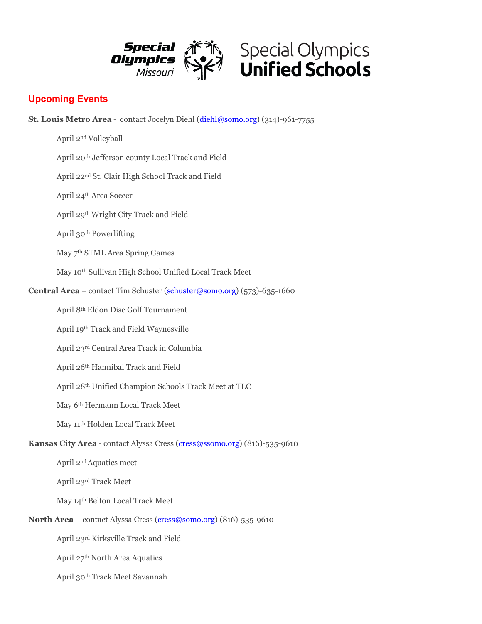



### **Upcoming Events**

**St. Louis Metro Area** - contact Jocelyn Diehl [\(diehl@somo.org\)](mailto:diehl@somo.org) (314)-961-7755

April 2nd Volleyball

April 20th Jefferson county Local Track and Field

April 22nd St. Clair High School Track and Field

April 24th Area Soccer

April 29th Wright City Track and Field

April 30th Powerlifting

May 7th STML Area Spring Games

May 10th Sullivan High School Unified Local Track Meet

**Central Area** – contact Tim Schuster [\(schuster@somo.org\)](mailto:schuster@somo.org) (573)-635-1660

April 8th Eldon Disc Golf Tournament

April 19th Track and Field Waynesville

April 23rd Central Area Track in Columbia

April 26th Hannibal Track and Field

April 28th Unified Champion Schools Track Meet at TLC

May 6th Hermann Local Track Meet

May 11th Holden Local Track Meet

**Kansas City Area** - contact Alyssa Cress [\(cress@ssomo.org\)](mailto:cress@ssomo.org) (816)-535-9610

April 2nd Aquatics meet

April 23rd Track Meet

May 14th Belton Local Track Meet

**North Area** – contact Alyssa Cress [\(cress@somo.org\)](mailto:cress@somo.org) (816)-535-9610

April 23rd Kirksville Track and Field

April 27th North Area Aquatics

April 30th Track Meet Savannah